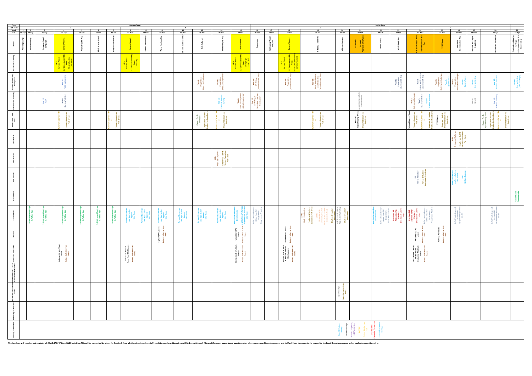| Term<br>Half-Term<br>Week<br>w.b.<br>$\begin{array}{c c}\n 20 \\  \hline\n 31\text{-Jan}\n \end{array}$<br>$\begin{array}{ c c c }\n\hline\n1 & 2 \\ \hline\n06-Sep & 13-Sep & \\\hline\n\end{array}$<br>$\frac{7}{18\text{-}0}$<br>9 10<br>01-Nov 08-Nov<br>$\frac{13}{29-Nov}$<br>$22$<br>14-Feb<br>$\frac{24}{07-Mar}$<br>$25$<br>14-Mar<br>$rac{27}{28 \cdot \text{Mar}}$<br>$rac{5}{04-Oct}$<br>$\begin{array}{c} 14 \\ \text{06-Dec} \end{array}$<br>$\begin{array}{c c}\n 16 \\  \hline\n 05\text{-Jan}\n\end{array}$<br>$\frac{17}{10}$ -Jan<br>$\frac{4}{\sqrt{27-Sep}}$<br>$6$<br>11-Oct<br>$\frac{15}{13 \cdot Dec}$<br>$\frac{21}{07}$ -Feb<br>$\frac{11}{15-Nov}$<br>$\frac{18}{17 - Jan}$<br>$\frac{28}{04-Apr}$<br>$\frac{3}{20-Sep}$<br>Day<br>nce Day<br>rnationa Day of<br>Happiness<br>Anti-Racial<br>Discrimination Day<br>European Day of<br>Languages<br>Veek 1<br>Week 3<br><b>Id Book Day</b><br>កិត<br>se New Ye<br>LGBT Pride<br>National<br>renticeship W<br>ebrating Wo<br>Religions<br>STEM We<br>New Beg<br>t<br>$\approx$<br>- 손<br>i ≱<br>$\frac{3}{2}$<br>$\frac{1}{2}$<br>$\frac{1}{2}$<br>$\sim$<br>CLT Caree<br>F<br>Aimi<br><b>CLL Care</b><br><b>C</b> are<br><b>CLT</b> Ca<br>i<br>Super<br>Year 9:<br>Preparation<br>(Out to Work Day)<br>Year 9:<br>eview and Thank You<br>(Out to Work Day)<br>or Care ers Learn<br>Task Specific<br>Year 8:<br>Preparation<br>et the Employ<br>Year 11:<br>Preparation<br>ck Interview I<br>Year 11:<br>reparation, Revi<br>and Thank You<br>fock Interest<br>Hi ew<br>$rac{ar \theta}{\sqrt{\theta}}$<br>$rac{r \theta}{\theta}$<br>$rac{r \theta}{r}$<br>$rac{r \theta}{r}$<br>$rac{r \theta}{r}$<br>$rac{r \theta}{r}$<br>$r \theta$<br>$r \theta$<br>Year 7:<br>Preparation<br>erprise Challe<br>$rac{3}{2}$<br>ੂ≊ ≊<br>ុឌ ត្<br>စုံ နွ<br>Year<br>(Appl<br>Year<br>Prepan<br>Prepan<br>Year<br>CV Wr<br>:k Inter<br>year<br>Ions<br><b>Year 8:</b><br>Meet the Employers<br>(Monday: Answers)<br>י וונגסקחיקוט<br>Work וונגטאומא<br>Work וונגסקחיקוט<br>Year 7:<br>rprise Challenge<br>Year 9:<br>t to Work Day<br>Year 9:<br>Year 9:<br>Year11:<br>malStater<br>Writing<br>'ear 10:<br>WEX<br>Year 9 -<br>NEACO<br>Year 9:<br>to Work<br>rear 10:<br>ns Asse<br>$\overline{5}$<br>Careers Fair 1:<br>STEM Focus<br>Employers & Student<br>Evaluation Post-Event<br>ା≝<br><b>ational Careers Week</b><br>Employer & Student<br>Evaluation Post-Exem<br>STEM Week<br>Student Evaluation<br>Student Evaluation<br>Post-Feent<br>National<br>enticeship We<br>Employers & Stude<br>Evaluation Post-Eve<br>Careers Fair 2:<br>prenticeship Foc<br><b>Ident Evaluati</b><br>Post-Event<br>dent Evaluat<br>Post-Event<br>dent Evaluat<br>Post-Even t<br>dent Evaluat<br>Post-Event<br>ident Evaluat<br>Post-Event<br>Student Evalua<br>Post-Even<br>: School<br>Events<br>ូ<br>"<br><u>ក្ដី មា</u><br>្ទី<br>းမြို့ ဖ<br>្អូ <sub>ម</sub><br>å.<br>Employers, Staff &<br>Student Evaluation<br>Post-Event<br>Employers, Staff &<br>Student Evaluation<br>Post-Event<br>ork Day.<br>Parent & Student<br>aluation Post-Even<br>et the Teach<br>chtime Opti<br>Discussions<br>10th:<br>:o Work<br>Employer & Student<br>Evaluation Post-Event<br>One Haverhill<br>Appenticeship<br>Meetings<br>Interested students<br>$\alpha$ mperticeship<br>One Haverhill<br>Apprenticeship<br>Appenticeship<br>Interested students<br>Pathways Meeti<br>& Follow Ups<br>을 음<br>나<br>Pathways Meet<br>& Follow Ups<br>Pathways Mee:<br>& Follow Ups<br>nal Statem<br>  Application<br>  Support<br>  Utor Time<br>onal Statem<br>d Applicatio<br>Support<br>Tutor Time<br>15ml<br>erail<br>Progra<br>mal Statem<br>1 Application<br>Support<br>Tutor Time<br>onal Staten<br>Id Application<br>Support<br>Tutor Time<br>iverhi<br>Prog<br>ek 4<br>11 CE<br>nar sta<br>Applic<br>Suppo<br>al Sta<br>d Applic<br>Suppor<br>Jutor<br>Pathways<br>& Follow<br>동 다<br>8<br>Path<br>& Fi<br>The Arch<br>anities C<br>Lessons<br>t Music<br>Less ons<br>Evaluati<br>Event<br>CEIAGL<br>Evaluati<br>Event<br>Evaluat<br>Event<br>ivaluat<br>Event<br>훕<br><b>Business, Core PE, GCSE<br/>PE &amp; Health &amp; Fitness<br/>CEIAG Lessons</b><br>science and Health &<br>:lal Care CEIAG Lesson<br>s, Catering, Creati<br>  iMedia, ICT and<br>  rforming Arts CEIA<br>  Less ons<br>ties & MFL<br>Lessons<br>.<br>nd Math<br>Less ons<br>Evaluation<br>Event<br>$E$ vent<br>itional Subject / Extra-<br>icular CEIAG Activities<br>Addit<br>Curric |  |  | $\mathbf{1}$ |  | Autumn Term |  | $\frac{2}{12}$ $\frac{12}{22 \cdot \text{Nov}}$ |  |  |  | $\begin{array}{r} \hline 1 \\ \hline 19 \\ \hline 24\text{-Jan} \end{array}$ |  | <b>Spring Term</b> | $rac{23}{28-Feb}$ | $\overline{2}$ | $\frac{26}{21-Mar}$ |  |                                                                 |
|-----------------------------------------------------------------------------------------------------------------------------------------------------------------------------------------------------------------------------------------------------------------------------------------------------------------------------------------------------------------------------------------------------------------------------------------------------------------------------------------------------------------------------------------------------------------------------------------------------------------------------------------------------------------------------------------------------------------------------------------------------------------------------------------------------------------------------------------------------------------------------------------------------------------------------------------------------------------------------------------------------------------------------------------------------------------------------------------------------------------------------------------------------------------------------------------------------------------------------------------------------------------------------------------------------------------------------------------------------------------------------------------------------------------------------------------------------------------------------------------------------------------------------------------------------------------------------------------------------------------------------------------------------------------------------------------------------------------------------------------------------------------------------------------------------------------------------------------------------------------------------------------------------------------------------------------------------------------------------------------------------------------------------------------------------------------------------------------------------------------------------------------------------------------------------------------------------------------------------------------------------------------------------------------------------------------------------------------------------------------------------------------------------------------------------------------------------------------------------------------------------------------------------------------------------------------------------------------------------------------------------------------------------------------------------------------------------------------------------------------------------------------------------------------------------------------------------------------------------------------------------------------------------------------------------------------------------------------------------------------------------------------------------------------------------------------------------------------------------------------------------------------------------------------------------------------------------------------------------------------------------------------------------------------------------------------------------------------------------------------------------------------------------------------------------------------------------------------------------------------------------------------------------------------------------------------------------------------------------------------------------------------------------------------------------------------------------------------------------------------------------------------------------------------------------------------------------------------------------------------------------------------------------------------------------------------------------------------------------------------------------------------------------------------------------------------------------------------------------------------------------------------------------------------------------------------------------------------------------------------------------------------------------------------------------------------------------------------------------------------------------------------------------------------------------------------------------------------------------------------------------|--|--|--------------|--|-------------|--|-------------------------------------------------|--|--|--|------------------------------------------------------------------------------|--|--------------------|-------------------|----------------|---------------------|--|-----------------------------------------------------------------|
|                                                                                                                                                                                                                                                                                                                                                                                                                                                                                                                                                                                                                                                                                                                                                                                                                                                                                                                                                                                                                                                                                                                                                                                                                                                                                                                                                                                                                                                                                                                                                                                                                                                                                                                                                                                                                                                                                                                                                                                                                                                                                                                                                                                                                                                                                                                                                                                                                                                                                                                                                                                                                                                                                                                                                                                                                                                                                                                                                                                                                                                                                                                                                                                                                                                                                                                                                                                                                                                                                                                                                                                                                                                                                                                                                                                                                                                                                                                                                                                                                                                                                                                                                                                                                                                                                                                                                                                                                                                                                                     |  |  |              |  |             |  |                                                 |  |  |  |                                                                              |  |                    |                   |                |                     |  | 29<br>25-Apr                                                    |
|                                                                                                                                                                                                                                                                                                                                                                                                                                                                                                                                                                                                                                                                                                                                                                                                                                                                                                                                                                                                                                                                                                                                                                                                                                                                                                                                                                                                                                                                                                                                                                                                                                                                                                                                                                                                                                                                                                                                                                                                                                                                                                                                                                                                                                                                                                                                                                                                                                                                                                                                                                                                                                                                                                                                                                                                                                                                                                                                                                                                                                                                                                                                                                                                                                                                                                                                                                                                                                                                                                                                                                                                                                                                                                                                                                                                                                                                                                                                                                                                                                                                                                                                                                                                                                                                                                                                                                                                                                                                                                     |  |  |              |  |             |  |                                                 |  |  |  |                                                                              |  |                    |                   |                |                     |  | ration of English<br>Heritage<br>speare Day & St<br>eorge's Day |
|                                                                                                                                                                                                                                                                                                                                                                                                                                                                                                                                                                                                                                                                                                                                                                                                                                                                                                                                                                                                                                                                                                                                                                                                                                                                                                                                                                                                                                                                                                                                                                                                                                                                                                                                                                                                                                                                                                                                                                                                                                                                                                                                                                                                                                                                                                                                                                                                                                                                                                                                                                                                                                                                                                                                                                                                                                                                                                                                                                                                                                                                                                                                                                                                                                                                                                                                                                                                                                                                                                                                                                                                                                                                                                                                                                                                                                                                                                                                                                                                                                                                                                                                                                                                                                                                                                                                                                                                                                                                                                     |  |  |              |  |             |  |                                                 |  |  |  |                                                                              |  |                    |                   |                |                     |  |                                                                 |
|                                                                                                                                                                                                                                                                                                                                                                                                                                                                                                                                                                                                                                                                                                                                                                                                                                                                                                                                                                                                                                                                                                                                                                                                                                                                                                                                                                                                                                                                                                                                                                                                                                                                                                                                                                                                                                                                                                                                                                                                                                                                                                                                                                                                                                                                                                                                                                                                                                                                                                                                                                                                                                                                                                                                                                                                                                                                                                                                                                                                                                                                                                                                                                                                                                                                                                                                                                                                                                                                                                                                                                                                                                                                                                                                                                                                                                                                                                                                                                                                                                                                                                                                                                                                                                                                                                                                                                                                                                                                                                     |  |  |              |  |             |  |                                                 |  |  |  |                                                                              |  |                    |                   |                |                     |  | $\ddot{\theta}$ $\ddot{\theta}$                                 |
|                                                                                                                                                                                                                                                                                                                                                                                                                                                                                                                                                                                                                                                                                                                                                                                                                                                                                                                                                                                                                                                                                                                                                                                                                                                                                                                                                                                                                                                                                                                                                                                                                                                                                                                                                                                                                                                                                                                                                                                                                                                                                                                                                                                                                                                                                                                                                                                                                                                                                                                                                                                                                                                                                                                                                                                                                                                                                                                                                                                                                                                                                                                                                                                                                                                                                                                                                                                                                                                                                                                                                                                                                                                                                                                                                                                                                                                                                                                                                                                                                                                                                                                                                                                                                                                                                                                                                                                                                                                                                                     |  |  |              |  |             |  |                                                 |  |  |  |                                                                              |  |                    |                   |                |                     |  |                                                                 |
|                                                                                                                                                                                                                                                                                                                                                                                                                                                                                                                                                                                                                                                                                                                                                                                                                                                                                                                                                                                                                                                                                                                                                                                                                                                                                                                                                                                                                                                                                                                                                                                                                                                                                                                                                                                                                                                                                                                                                                                                                                                                                                                                                                                                                                                                                                                                                                                                                                                                                                                                                                                                                                                                                                                                                                                                                                                                                                                                                                                                                                                                                                                                                                                                                                                                                                                                                                                                                                                                                                                                                                                                                                                                                                                                                                                                                                                                                                                                                                                                                                                                                                                                                                                                                                                                                                                                                                                                                                                                                                     |  |  |              |  |             |  |                                                 |  |  |  |                                                                              |  |                    |                   |                |                     |  |                                                                 |
|                                                                                                                                                                                                                                                                                                                                                                                                                                                                                                                                                                                                                                                                                                                                                                                                                                                                                                                                                                                                                                                                                                                                                                                                                                                                                                                                                                                                                                                                                                                                                                                                                                                                                                                                                                                                                                                                                                                                                                                                                                                                                                                                                                                                                                                                                                                                                                                                                                                                                                                                                                                                                                                                                                                                                                                                                                                                                                                                                                                                                                                                                                                                                                                                                                                                                                                                                                                                                                                                                                                                                                                                                                                                                                                                                                                                                                                                                                                                                                                                                                                                                                                                                                                                                                                                                                                                                                                                                                                                                                     |  |  |              |  |             |  |                                                 |  |  |  |                                                                              |  |                    |                   |                |                     |  |                                                                 |
|                                                                                                                                                                                                                                                                                                                                                                                                                                                                                                                                                                                                                                                                                                                                                                                                                                                                                                                                                                                                                                                                                                                                                                                                                                                                                                                                                                                                                                                                                                                                                                                                                                                                                                                                                                                                                                                                                                                                                                                                                                                                                                                                                                                                                                                                                                                                                                                                                                                                                                                                                                                                                                                                                                                                                                                                                                                                                                                                                                                                                                                                                                                                                                                                                                                                                                                                                                                                                                                                                                                                                                                                                                                                                                                                                                                                                                                                                                                                                                                                                                                                                                                                                                                                                                                                                                                                                                                                                                                                                                     |  |  |              |  |             |  |                                                 |  |  |  |                                                                              |  |                    |                   |                |                     |  |                                                                 |
|                                                                                                                                                                                                                                                                                                                                                                                                                                                                                                                                                                                                                                                                                                                                                                                                                                                                                                                                                                                                                                                                                                                                                                                                                                                                                                                                                                                                                                                                                                                                                                                                                                                                                                                                                                                                                                                                                                                                                                                                                                                                                                                                                                                                                                                                                                                                                                                                                                                                                                                                                                                                                                                                                                                                                                                                                                                                                                                                                                                                                                                                                                                                                                                                                                                                                                                                                                                                                                                                                                                                                                                                                                                                                                                                                                                                                                                                                                                                                                                                                                                                                                                                                                                                                                                                                                                                                                                                                                                                                                     |  |  |              |  |             |  |                                                 |  |  |  |                                                                              |  |                    |                   |                |                     |  |                                                                 |
|                                                                                                                                                                                                                                                                                                                                                                                                                                                                                                                                                                                                                                                                                                                                                                                                                                                                                                                                                                                                                                                                                                                                                                                                                                                                                                                                                                                                                                                                                                                                                                                                                                                                                                                                                                                                                                                                                                                                                                                                                                                                                                                                                                                                                                                                                                                                                                                                                                                                                                                                                                                                                                                                                                                                                                                                                                                                                                                                                                                                                                                                                                                                                                                                                                                                                                                                                                                                                                                                                                                                                                                                                                                                                                                                                                                                                                                                                                                                                                                                                                                                                                                                                                                                                                                                                                                                                                                                                                                                                                     |  |  |              |  |             |  |                                                 |  |  |  |                                                                              |  |                    |                   |                |                     |  | Future<br>Quest                                                 |
|                                                                                                                                                                                                                                                                                                                                                                                                                                                                                                                                                                                                                                                                                                                                                                                                                                                                                                                                                                                                                                                                                                                                                                                                                                                                                                                                                                                                                                                                                                                                                                                                                                                                                                                                                                                                                                                                                                                                                                                                                                                                                                                                                                                                                                                                                                                                                                                                                                                                                                                                                                                                                                                                                                                                                                                                                                                                                                                                                                                                                                                                                                                                                                                                                                                                                                                                                                                                                                                                                                                                                                                                                                                                                                                                                                                                                                                                                                                                                                                                                                                                                                                                                                                                                                                                                                                                                                                                                                                                                                     |  |  |              |  |             |  |                                                 |  |  |  |                                                                              |  |                    |                   |                |                     |  |                                                                 |
|                                                                                                                                                                                                                                                                                                                                                                                                                                                                                                                                                                                                                                                                                                                                                                                                                                                                                                                                                                                                                                                                                                                                                                                                                                                                                                                                                                                                                                                                                                                                                                                                                                                                                                                                                                                                                                                                                                                                                                                                                                                                                                                                                                                                                                                                                                                                                                                                                                                                                                                                                                                                                                                                                                                                                                                                                                                                                                                                                                                                                                                                                                                                                                                                                                                                                                                                                                                                                                                                                                                                                                                                                                                                                                                                                                                                                                                                                                                                                                                                                                                                                                                                                                                                                                                                                                                                                                                                                                                                                                     |  |  |              |  |             |  |                                                 |  |  |  |                                                                              |  |                    |                   |                |                     |  |                                                                 |
|                                                                                                                                                                                                                                                                                                                                                                                                                                                                                                                                                                                                                                                                                                                                                                                                                                                                                                                                                                                                                                                                                                                                                                                                                                                                                                                                                                                                                                                                                                                                                                                                                                                                                                                                                                                                                                                                                                                                                                                                                                                                                                                                                                                                                                                                                                                                                                                                                                                                                                                                                                                                                                                                                                                                                                                                                                                                                                                                                                                                                                                                                                                                                                                                                                                                                                                                                                                                                                                                                                                                                                                                                                                                                                                                                                                                                                                                                                                                                                                                                                                                                                                                                                                                                                                                                                                                                                                                                                                                                                     |  |  |              |  |             |  |                                                 |  |  |  |                                                                              |  |                    |                   |                |                     |  |                                                                 |
|                                                                                                                                                                                                                                                                                                                                                                                                                                                                                                                                                                                                                                                                                                                                                                                                                                                                                                                                                                                                                                                                                                                                                                                                                                                                                                                                                                                                                                                                                                                                                                                                                                                                                                                                                                                                                                                                                                                                                                                                                                                                                                                                                                                                                                                                                                                                                                                                                                                                                                                                                                                                                                                                                                                                                                                                                                                                                                                                                                                                                                                                                                                                                                                                                                                                                                                                                                                                                                                                                                                                                                                                                                                                                                                                                                                                                                                                                                                                                                                                                                                                                                                                                                                                                                                                                                                                                                                                                                                                                                     |  |  |              |  |             |  |                                                 |  |  |  |                                                                              |  |                    |                   |                |                     |  |                                                                 |
|                                                                                                                                                                                                                                                                                                                                                                                                                                                                                                                                                                                                                                                                                                                                                                                                                                                                                                                                                                                                                                                                                                                                                                                                                                                                                                                                                                                                                                                                                                                                                                                                                                                                                                                                                                                                                                                                                                                                                                                                                                                                                                                                                                                                                                                                                                                                                                                                                                                                                                                                                                                                                                                                                                                                                                                                                                                                                                                                                                                                                                                                                                                                                                                                                                                                                                                                                                                                                                                                                                                                                                                                                                                                                                                                                                                                                                                                                                                                                                                                                                                                                                                                                                                                                                                                                                                                                                                                                                                                                                     |  |  |              |  |             |  |                                                 |  |  |  |                                                                              |  |                    |                   |                |                     |  |                                                                 |
|                                                                                                                                                                                                                                                                                                                                                                                                                                                                                                                                                                                                                                                                                                                                                                                                                                                                                                                                                                                                                                                                                                                                                                                                                                                                                                                                                                                                                                                                                                                                                                                                                                                                                                                                                                                                                                                                                                                                                                                                                                                                                                                                                                                                                                                                                                                                                                                                                                                                                                                                                                                                                                                                                                                                                                                                                                                                                                                                                                                                                                                                                                                                                                                                                                                                                                                                                                                                                                                                                                                                                                                                                                                                                                                                                                                                                                                                                                                                                                                                                                                                                                                                                                                                                                                                                                                                                                                                                                                                                                     |  |  |              |  |             |  |                                                 |  |  |  |                                                                              |  |                    |                   |                |                     |  |                                                                 |
| ar 10: Long I<br>HCSF Taster                                                                                                                                                                                                                                                                                                                                                                                                                                                                                                                                                                                                                                                                                                                                                                                                                                                                                                                                                                                                                                                                                                                                                                                                                                                                                                                                                                                                                                                                                                                                                                                                                                                                                                                                                                                                                                                                                                                                                                                                                                                                                                                                                                                                                                                                                                                                                                                                                                                                                                                                                                                                                                                                                                                                                                                                                                                                                                                                                                                                                                                                                                                                                                                                                                                                                                                                                                                                                                                                                                                                                                                                                                                                                                                                                                                                                                                                                                                                                                                                                                                                                                                                                                                                                                                                                                                                                                                                                                                                        |  |  |              |  |             |  |                                                 |  |  |  |                                                                              |  |                    |                   |                |                     |  |                                                                 |